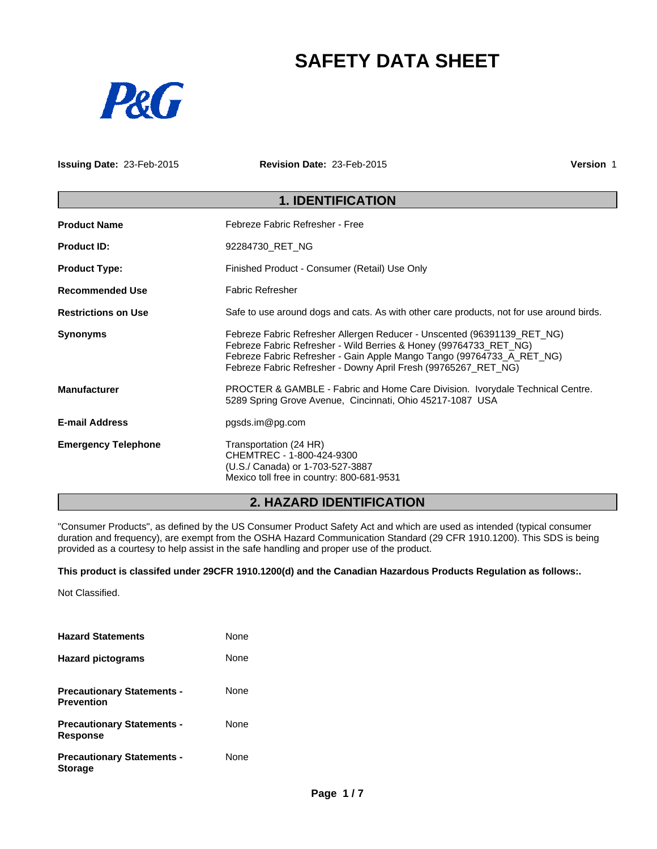# **SAFETY DATA SHEET**



**Issuing Date:** 23-Feb-2015 **Revision Date:** 23-Feb-2015 **Version** 1

## **1. IDENTIFICATION**

| <b>Product Name</b>        | Febreze Fabric Refresher - Free                                                                                                                                                                                                                                                         |
|----------------------------|-----------------------------------------------------------------------------------------------------------------------------------------------------------------------------------------------------------------------------------------------------------------------------------------|
| <b>Product ID:</b>         | 92284730 RET NG                                                                                                                                                                                                                                                                         |
| <b>Product Type:</b>       | Finished Product - Consumer (Retail) Use Only                                                                                                                                                                                                                                           |
| <b>Recommended Use</b>     | <b>Fabric Refresher</b>                                                                                                                                                                                                                                                                 |
| <b>Restrictions on Use</b> | Safe to use around dogs and cats. As with other care products, not for use around birds.                                                                                                                                                                                                |
| <b>Synonyms</b>            | Febreze Fabric Refresher Allergen Reducer - Unscented (96391139_RET_NG)<br>Febreze Fabric Refresher - Wild Berries & Honey (99764733_RET_NG)<br>Febreze Fabric Refresher - Gain Apple Mango Tango (99764733_A_RET_NG)<br>Febreze Fabric Refresher - Downy April Fresh (99765267 RET NG) |
| <b>Manufacturer</b>        | PROCTER & GAMBLE - Fabric and Home Care Division. Ivorydale Technical Centre.<br>5289 Spring Grove Avenue, Cincinnati, Ohio 45217-1087 USA                                                                                                                                              |
| <b>E-mail Address</b>      | pgsds.im@pg.com                                                                                                                                                                                                                                                                         |
| <b>Emergency Telephone</b> | Transportation (24 HR)<br>CHEMTREC - 1-800-424-9300<br>(U.S./ Canada) or 1-703-527-3887<br>Mexico toll free in country: 800-681-9531                                                                                                                                                    |

## **2. HAZARD IDENTIFICATION**

"Consumer Products", as defined by the US Consumer Product Safety Act and which are used as intended (typical consumer duration and frequency), are exempt from the OSHA Hazard Communication Standard (29 CFR 1910.1200). This SDS is being provided as a courtesy to help assist in the safe handling and proper use of the product.

**This product is classifed under 29CFR 1910.1200(d) and the Canadian Hazardous Products Regulation as follows:.**

Not Classified.

| <b>Hazard Statements</b>                               | None        |
|--------------------------------------------------------|-------------|
| <b>Hazard pictograms</b>                               | <b>None</b> |
| <b>Precautionary Statements -</b><br><b>Prevention</b> | None        |
| <b>Precautionary Statements -</b><br><b>Response</b>   | None        |
| <b>Precautionary Statements -</b><br><b>Storage</b>    | None        |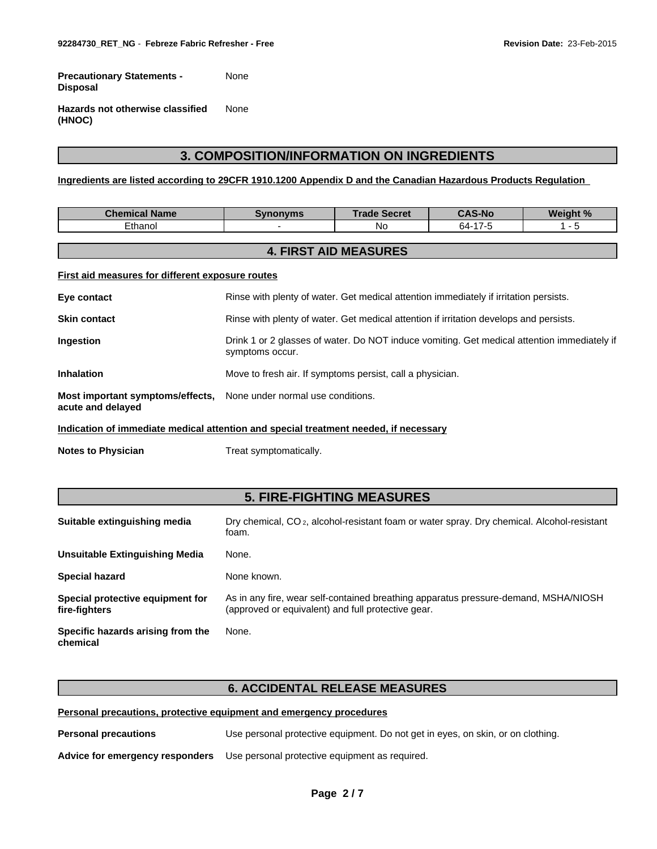**Precautionary Statements - Disposal** None

**Hazards not otherwise classified (HNOC)** None

## **3. COMPOSITION/INFORMATION ON INGREDIENTS**

**Ingredients are listed according to 29CFR 1910.1200 Appendix D and the Canadian Hazardous Products Regulation** 

| <b>Chemical Name</b>                                                                 | <b>Synonyms</b>                                                                                                | <b>Trade Secret</b>          | <b>CAS-No</b> | Weight % |
|--------------------------------------------------------------------------------------|----------------------------------------------------------------------------------------------------------------|------------------------------|---------------|----------|
| Ethanol                                                                              |                                                                                                                | No.                          | 64-17-5       | 1 - 5    |
|                                                                                      |                                                                                                                |                              |               |          |
|                                                                                      |                                                                                                                | <b>4. FIRST AID MEASURES</b> |               |          |
| First aid measures for different exposure routes                                     |                                                                                                                |                              |               |          |
| Eye contact                                                                          | Rinse with plenty of water. Get medical attention immediately if irritation persists.                          |                              |               |          |
| <b>Skin contact</b>                                                                  | Rinse with plenty of water. Get medical attention if irritation develops and persists.                         |                              |               |          |
| <b>Ingestion</b>                                                                     | Drink 1 or 2 glasses of water. Do NOT induce vomiting. Get medical attention immediately if<br>symptoms occur. |                              |               |          |
| <b>Inhalation</b>                                                                    | Move to fresh air. If symptoms persist, call a physician.                                                      |                              |               |          |
| Most important symptoms/effects,<br>acute and delayed                                | None under normal use conditions.                                                                              |                              |               |          |
| Indication of immediate medical attention and special treatment needed, if necessary |                                                                                                                |                              |               |          |

**Notes to Physician** Treat symptomatically.

## **5. FIRE-FIGHTING MEASURES**

| Suitable extinguishing media                      | Dry chemical, CO <sub>2</sub> , alcohol-resistant foam or water spray. Dry chemical. Alcohol-resistant<br>foam.                           |
|---------------------------------------------------|-------------------------------------------------------------------------------------------------------------------------------------------|
| Unsuitable Extinguishing Media                    | None.                                                                                                                                     |
| <b>Special hazard</b>                             | None known.                                                                                                                               |
| Special protective equipment for<br>fire-fighters | As in any fire, wear self-contained breathing apparatus pressure-demand, MSHA/NIOSH<br>(approved or equivalent) and full protective gear. |
| Specific hazards arising from the<br>chemical     | None.                                                                                                                                     |

#### **6. ACCIDENTAL RELEASE MEASURES**

**Personal precautions, protective equipment and emergency procedures**

**Personal precautions** Use personal protective equipment. Do not get in eyes, on skin, or on clothing.

**Advice for emergency responders** Use personal protective equipment as required.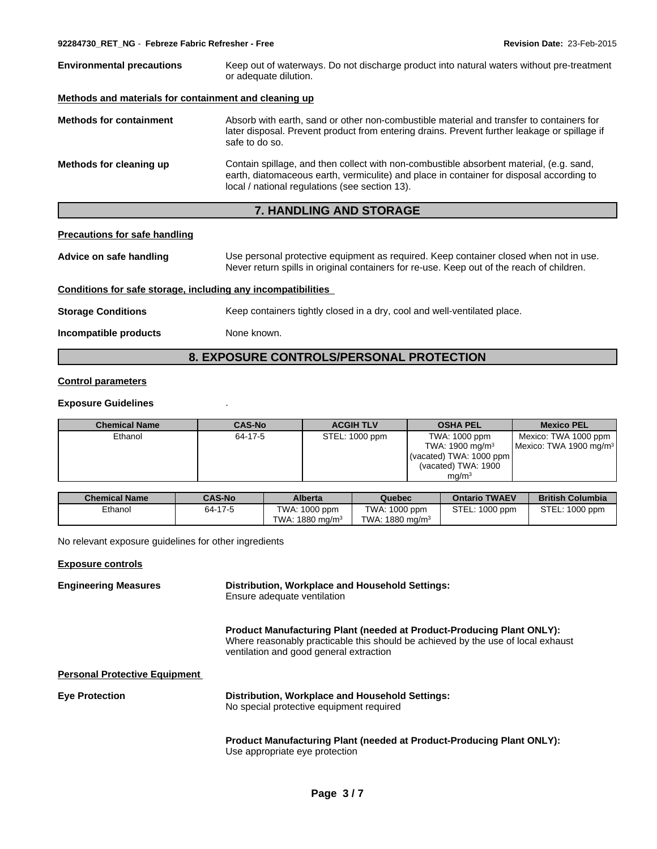| <b>Environmental precautions</b>                      | Keep out of waterways. Do not discharge product into natural waters without pre-treatment<br>or adequate dilution.                                                                                                                    |
|-------------------------------------------------------|---------------------------------------------------------------------------------------------------------------------------------------------------------------------------------------------------------------------------------------|
| Methods and materials for containment and cleaning up |                                                                                                                                                                                                                                       |
| <b>Methods for containment</b>                        | Absorb with earth, sand or other non-combustible material and transfer to containers for<br>later disposal. Prevent product from entering drains. Prevent further leakage or spillage if<br>safe to do so.                            |
| Methods for cleaning up                               | Contain spillage, and then collect with non-combustible absorbent material, (e.g. sand,<br>earth, diatomaceous earth, vermiculite) and place in container for disposal according to<br>local / national regulations (see section 13). |
|                                                       | <b>7. HANDLING AND STORAGE</b>                                                                                                                                                                                                        |

#### **Precautions for safe handling**

**Advice on safe handling** Use personal protective equipment as required. Keep container closed when not in use. Never return spills in original containers for re-use. Keep out of the reach of children.

#### **Conditions for safe storage, including any incompatibilities**

**Storage Conditions** Keep containers tightly closed in a dry, cool and well-ventilated place.

**Incompatible products** None known.

## **8. EXPOSURE CONTROLS/PERSONAL PROTECTION**

#### **Control parameters**

#### **Exposure Guidelines** .

| <b>Chemical Name</b> | <b>CAS-No</b> | <b>ACGIH TLV</b> | <b>OSHA PEL</b>            | <b>Mexico PEL</b>                  |
|----------------------|---------------|------------------|----------------------------|------------------------------------|
| Ethanol              | 64-17-5       | STEL: 1000 ppm   | TWA: 1000 ppm              | Mexico: TWA 1000 ppm               |
|                      |               |                  | TWA: $1900 \text{ mg/m}^3$ | Mexico: TWA 1900 mg/m <sup>3</sup> |
|                      |               |                  | (vacated) TWA: $1000$ ppm  |                                    |
|                      |               |                  | (vacated) TWA: 1900        |                                    |
|                      |               |                  | mq/m <sup>3</sup>          |                                    |

| <b>Chemical Name</b> | <b>CAS-No</b> | <b>Alberta</b>             | Quebec                     | <b>Ontario TWAEV</b> | <b>British Columbia</b> |
|----------------------|---------------|----------------------------|----------------------------|----------------------|-------------------------|
| Ethanol              | 64-17-5       | TWA: 1000 ppm              | TWA: 1000 ppm              | STEL: 1000 ppm       | STEL: 1000 ppm          |
|                      |               | TWA: $1880 \text{ mg/m}^3$ | TWA: $1880 \text{ mg/m}^3$ |                      |                         |

No relevant exposure guidelines for other ingredients

#### **Exposure controls**

| <b>Engineering Measures</b>          | Distribution, Workplace and Household Settings:<br>Ensure adequate ventilation                                                                                                                              |
|--------------------------------------|-------------------------------------------------------------------------------------------------------------------------------------------------------------------------------------------------------------|
|                                      | <b>Product Manufacturing Plant (needed at Product-Producing Plant ONLY):</b><br>Where reasonably practicable this should be achieved by the use of local exhaust<br>ventilation and good general extraction |
| <b>Personal Protective Equipment</b> |                                                                                                                                                                                                             |
| <b>Eye Protection</b>                | Distribution, Workplace and Household Settings:<br>No special protective equipment required                                                                                                                 |
|                                      | <b>Product Manufacturing Plant (needed at Product-Producing Plant ONLY):</b><br>Use appropriate eye protection                                                                                              |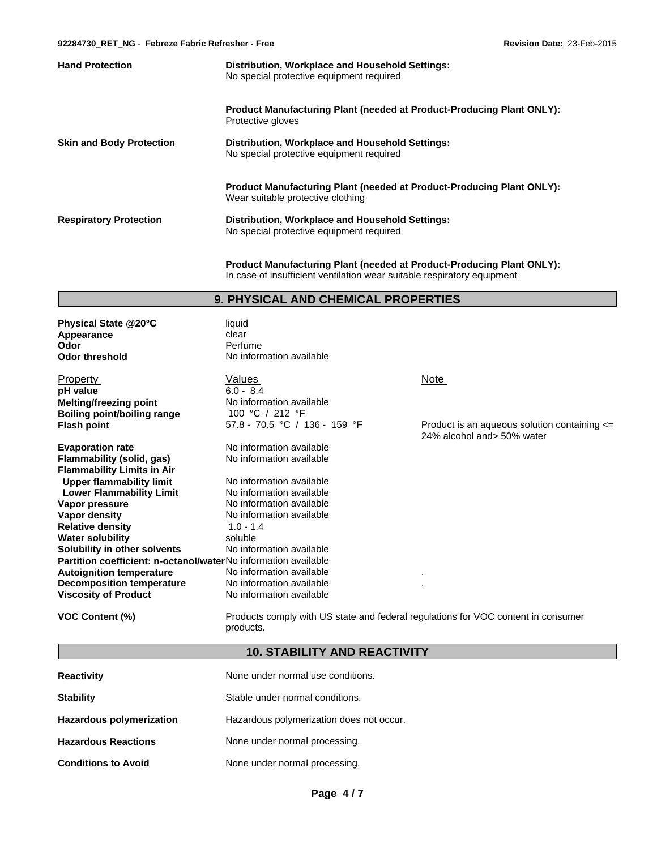| <b>Hand Protection</b>          | Distribution, Workplace and Household Settings:<br>No special protective equipment required                       |
|---------------------------------|-------------------------------------------------------------------------------------------------------------------|
|                                 | <b>Product Manufacturing Plant (needed at Product-Producing Plant ONLY):</b><br>Protective gloves                 |
| <b>Skin and Body Protection</b> | Distribution, Workplace and Household Settings:<br>No special protective equipment required                       |
|                                 | <b>Product Manufacturing Plant (needed at Product-Producing Plant ONLY):</b><br>Wear suitable protective clothing |
| <b>Respiratory Protection</b>   | Distribution, Workplace and Household Settings:<br>No special protective equipment required                       |

**Product Manufacturing Plant (needed at Product-Producing Plant ONLY):** In case of insufficient ventilation wear suitable respiratory equipment

### **9. PHYSICAL AND CHEMICAL PROPERTIES**

| Physical State @20°C<br>Appearance<br>Odor<br><b>Odor threshold</b>   | liquid<br>clear<br>Perfume<br>No information available |                                          |
|-----------------------------------------------------------------------|--------------------------------------------------------|------------------------------------------|
| Property                                                              | Values                                                 | <b>Note</b>                              |
| pH value                                                              | $6.0 - 8.4$                                            |                                          |
| <b>Melting/freezing point</b>                                         | No information available                               |                                          |
| <b>Boiling point/boiling range</b>                                    | 100 °C / 212 °F                                        |                                          |
| <b>Flash point</b>                                                    | 57.8 - 70.5 °C / 136 - 159 °F                          | Product is an aque<br>24% alcohol and> ! |
| <b>Evaporation rate</b>                                               | No information available                               |                                          |
| Flammability (solid, gas)                                             | No information available                               |                                          |
| <b>Flammability Limits in Air</b>                                     |                                                        |                                          |
| <b>Upper flammability limit</b>                                       | No information available                               |                                          |
| <b>Lower Flammability Limit</b>                                       | No information available                               |                                          |
| Vapor pressure                                                        | No information available                               |                                          |
| Vapor density                                                         | No information available                               |                                          |
| <b>Relative density</b>                                               | $1.0 - 1.4$                                            |                                          |
| <b>Water solubility</b>                                               | soluble                                                |                                          |
| Solubility in other solvents                                          | No information available                               |                                          |
| <b>Partition coefficient: n-octanol/waterNo information available</b> |                                                        |                                          |
| <b>Autoignition temperature</b>                                       | No information available                               |                                          |
| <b>Decomposition temperature</b>                                      | No information available                               |                                          |
| <b>Viscosity of Product</b>                                           | No information available                               |                                          |

Fig. 3 - 159 °F **Product is an aqueous solution containing <=** 24% alcohol and> 50% water

**VOC Content (%)** Products comply with US state and federal regulations for VOC content in consumer products.

### **10. STABILITY AND REACTIVITY**

| <b>Reactivity</b>          | None under normal use conditions.        |
|----------------------------|------------------------------------------|
| <b>Stability</b>           | Stable under normal conditions.          |
| Hazardous polymerization   | Hazardous polymerization does not occur. |
| <b>Hazardous Reactions</b> | None under normal processing.            |
| <b>Conditions to Avoid</b> | None under normal processing.            |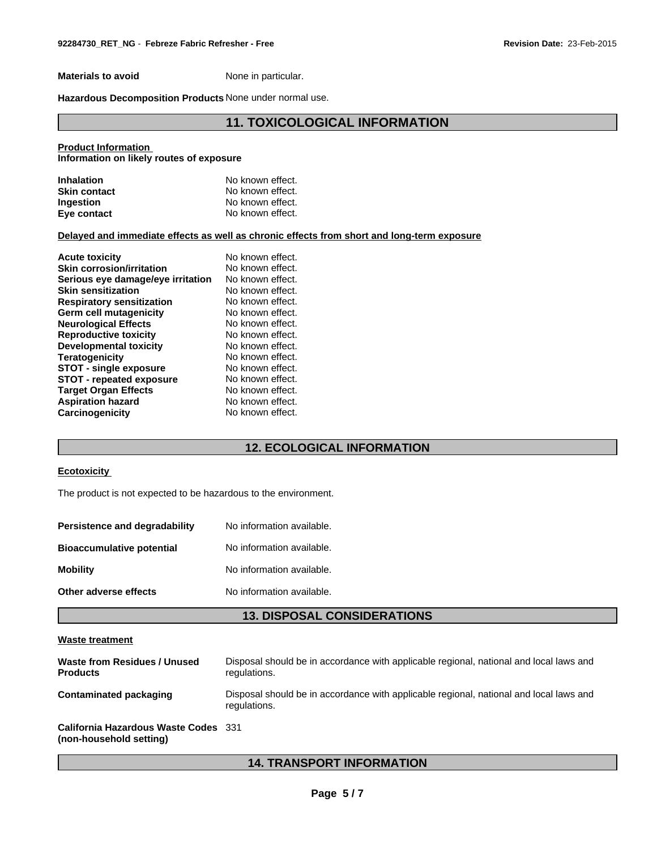**Materials to avoid** None in particular.

**Hazardous Decomposition Products** None under normal use.

## **11. TOXICOLOGICAL INFORMATION**

#### **Product Information**

**Information on likely routes of exposure**

| <b>Inhalation</b>   | No known effect. |
|---------------------|------------------|
| <b>Skin contact</b> | No known effect. |
| <b>Ingestion</b>    | No known effect. |
| Eye contact         | No known effect. |

#### **Delayed and immediate effects as well as chronic effects from short and long-term exposure**

| <b>Acute toxicity</b>             | No known effect. |
|-----------------------------------|------------------|
| <b>Skin corrosion/irritation</b>  | No known effect. |
| Serious eye damage/eye irritation | No known effect. |
| <b>Skin sensitization</b>         | No known effect. |
| <b>Respiratory sensitization</b>  | No known effect. |
| Germ cell mutagenicity            | No known effect. |
| <b>Neurological Effects</b>       | No known effect. |
| <b>Reproductive toxicity</b>      | No known effect. |
| Developmental toxicity            | No known effect. |
| <b>Teratogenicity</b>             | No known effect. |
| <b>STOT - single exposure</b>     | No known effect. |
| <b>STOT - repeated exposure</b>   | No known effect. |
| <b>Target Organ Effects</b>       | No known effect. |
| <b>Aspiration hazard</b>          | No known effect. |
| Carcinogenicity                   | No known effect. |
|                                   |                  |

## **12. ECOLOGICAL INFORMATION**

#### **Ecotoxicity**

The product is not expected to be hazardous to the environment.

| Persistence and degradability    | No information available. |
|----------------------------------|---------------------------|
| <b>Bioaccumulative potential</b> | No information available. |
| <b>Mobility</b>                  | No information available. |
| Other adverse effects            | No information available. |

### **13. DISPOSAL CONSIDERATIONS**

#### **Waste treatment**

| Waste from Residues / Unused<br><b>Products</b> | Disposal should be in accordance with applicable regional, national and local laws and<br>regulations. |
|-------------------------------------------------|--------------------------------------------------------------------------------------------------------|
| Contaminated packaging                          | Disposal should be in accordance with applicable regional, national and local laws and<br>regulations. |
| <b>California Hazardous Waste Codes</b> 331     |                                                                                                        |

#### **(non-household setting)**

## **14. TRANSPORT INFORMATION**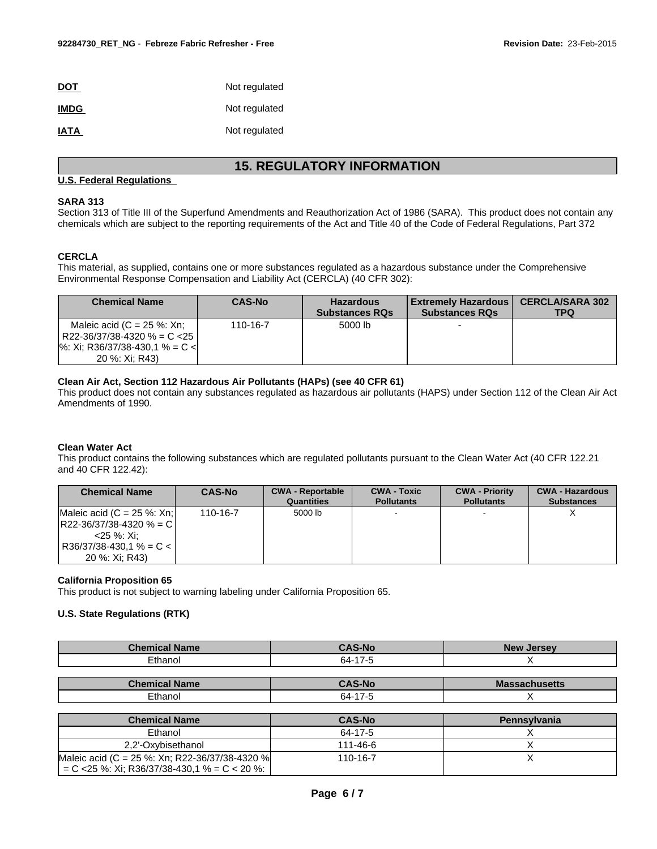| <b>DOT</b>  | Not regulated |
|-------------|---------------|
| <b>IMDG</b> | Not regulated |
| <b>IATA</b> | Not regulated |

## **15. REGULATORY INFORMATION**

#### **U.S. Federal Regulations**

#### **SARA 313**

Section 313 of Title III of the Superfund Amendments and Reauthorization Act of 1986 (SARA). This product does not contain any chemicals which are subject to the reporting requirements of the Act and Title 40 of the Code of Federal Regulations, Part 372

#### **CERCLA**

This material, as supplied, contains one or more substances regulated as a hazardous substance under the Comprehensive Environmental Response Compensation and Liability Act (CERCLA) (40 CFR 302):

| <b>Chemical Name</b>                                                                                                            | <b>CAS-No</b> | <b>Hazardous</b><br><b>Substances RQs</b> | <b>Extremely Hazardous</b><br><b>Substances RQs</b> | <b>CERCLA/SARA 302</b><br>TPQ |
|---------------------------------------------------------------------------------------------------------------------------------|---------------|-------------------------------------------|-----------------------------------------------------|-------------------------------|
| Maleic acid ( $C = 25$ %: Xn;<br>R22-36/37/38-4320 % = C <25 l<br>$\frac{1}{6}$ : Xi; R36/37/38-430,1 % = C <<br>20 %: Xi: R43) | 110-16-7      | 5000 lb                                   |                                                     |                               |

#### **Clean Air Act, Section 112 Hazardous Air Pollutants (HAPs) (see 40 CFR 61)**

This product does not contain any substances regulated as hazardous air pollutants (HAPS) under Section 112 of the Clean Air Act Amendments of 1990.

#### **Clean Water Act**

This product contains the following substances which are regulated pollutants pursuant to the Clean Water Act (40 CFR 122.21 and 40 CFR 122.42):

| <b>Chemical Name</b>          | <b>CAS-No</b> | <b>CWA - Reportable</b><br>Quantities | <b>CWA - Toxic</b><br><b>Pollutants</b> | <b>CWA - Priority</b><br><b>Pollutants</b> | <b>CWA - Hazardous</b><br><b>Substances</b> |
|-------------------------------|---------------|---------------------------------------|-----------------------------------------|--------------------------------------------|---------------------------------------------|
| Maleic acid $(C = 25 %: Xn$ ; | 110-16-7      | 5000 lb                               |                                         |                                            |                                             |
| $ R22-36/37/38-4320%$ = C     |               |                                       |                                         |                                            |                                             |
| <25 %: Xi:                    |               |                                       |                                         |                                            |                                             |
| $ $ R36/37/38-430.1 % = C < I |               |                                       |                                         |                                            |                                             |
| 20 %: Xi: R43)                |               |                                       |                                         |                                            |                                             |

#### **California Proposition 65**

This product is not subject to warning labeling under California Proposition 65.

#### **U.S. State Regulations (RTK)**

| <b>Chemical Name</b> | <b>CAS-No</b> | <b>New Jersey</b>    |
|----------------------|---------------|----------------------|
| Ethanol              | 64-17-5       |                      |
|                      |               |                      |
|                      |               |                      |
| <b>Chemical Name</b> | <b>CAS-No</b> | <b>Massachusetts</b> |

| <b>Chemical Name</b>                            | <b>CAS-No</b> | <b>Pennsylvania</b> |
|-------------------------------------------------|---------------|---------------------|
| Ethanol                                         | 64-17-5       |                     |
| 2.2'-Oxvbisethanol                              | 111-46-6      |                     |
| Maleic acid (C = 25 %: Xn; R22-36/37/38-4320 %) | 110-16-7      |                     |
| $C < 25$ %: Xi; R36/37/38-430.1 % = C < 20 %:   |               |                     |